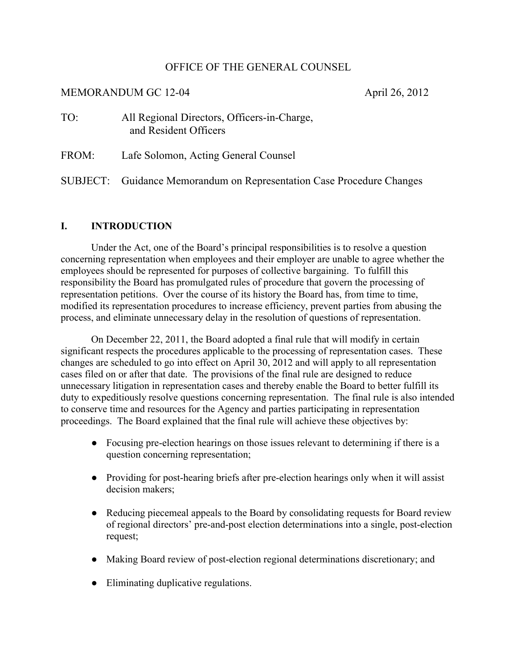## OFFICE OF THE GENERAL COUNSEL

## MEMORANDUM GC 12-04 April 26, 2012

| TO: | All Regional Directors, Officers-in-Charge, |
|-----|---------------------------------------------|
|     | and Resident Officers                       |

FROM: Lafe Solomon, Acting General Counsel

SUBJECT: Guidance Memorandum on Representation Case Procedure Changes

## **I. INTRODUCTION**

Under the Act, one of the Board's principal responsibilities is to resolve a question concerning representation when employees and their employer are unable to agree whether the employees should be represented for purposes of collective bargaining. To fulfill this responsibility the Board has promulgated rules of procedure that govern the processing of representation petitions. Over the course of its history the Board has, from time to time, modified its representation procedures to increase efficiency, prevent parties from abusing the process, and eliminate unnecessary delay in the resolution of questions of representation.

On December 22, 2011, the Board adopted a final rule that will modify in certain significant respects the procedures applicable to the processing of representation cases. These changes are scheduled to go into effect on April 30, 2012 and will apply to all representation cases filed on or after that date. The provisions of the final rule are designed to reduce unnecessary litigation in representation cases and thereby enable the Board to better fulfill its duty to expeditiously resolve questions concerning representation. The final rule is also intended to conserve time and resources for the Agency and parties participating in representation proceedings. The Board explained that the final rule will achieve these objectives by:

- Focusing pre-election hearings on those issues relevant to determining if there is a question concerning representation;
- Providing for post-hearing briefs after pre-election hearings only when it will assist decision makers;
- Reducing piecemeal appeals to the Board by consolidating requests for Board review of regional directors' pre-and-post election determinations into a single, post-election request;
- Making Board review of post-election regional determinations discretionary; and
- Eliminating duplicative regulations.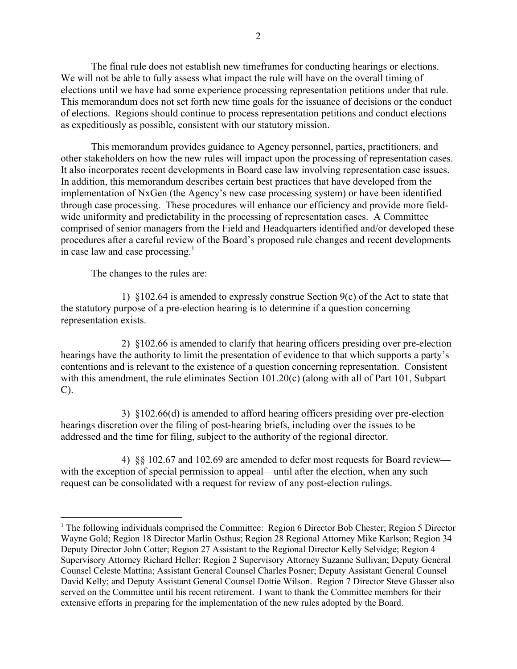The final rule does not establish new timeframes for conducting hearings or elections. We will not be able to fully assess what impact the rule will have on the overall timing of elections until we have had some experience processing representation petitions under that rule. This memorandum does not set forth new time goals for the issuance of decisions or the conduct of elections. Regions should continue to process representation petitions and conduct elections as expeditiously as possible, consistent with our statutory mission.

This memorandum provides guidance to Agency personnel, parties, practitioners, and other stakeholders on how the new rules will impact upon the processing of representation cases. It also incorporates recent developments in Board case law involving representation case issues. In addition, this memorandum describes certain best practices that have developed from the implementation of NxGen (the Agency's new case processing system) or have been identified through case processing. These procedures will enhance our efficiency and provide more fieldwide uniformity and predictability in the processing of representation cases. A Committee comprised of senior managers from the Field and Headquarters identified and/or developed these procedures after a careful review of the Board's proposed rule changes and recent developments in case law and case processing. $\frac{1}{1}$  $\frac{1}{1}$  $\frac{1}{1}$ 

The changes to the rules are:

 $\overline{a}$ 

1) §102.64 is amended to expressly construe Section 9(c) of the Act to state that the statutory purpose of a pre-election hearing is to determine if a question concerning representation exists.

2) §102.66 is amended to clarify that hearing officers presiding over pre-election hearings have the authority to limit the presentation of evidence to that which supports a party's contentions and is relevant to the existence of a question concerning representation. Consistent with this amendment, the rule eliminates Section 101.20(c) (along with all of Part 101, Subpart C).

3) §102.66(d) is amended to afford hearing officers presiding over pre-election hearings discretion over the filing of post-hearing briefs, including over the issues to be addressed and the time for filing, subject to the authority of the regional director.

4) §§ 102.67 and 102.69 are amended to defer most requests for Board review with the exception of special permission to appeal—until after the election, when any such request can be consolidated with a request for review of any post-election rulings.

<span id="page-1-0"></span><sup>&</sup>lt;sup>1</sup> The following individuals comprised the Committee: Region 6 Director Bob Chester; Region 5 Director Wayne Gold; Region 18 Director Marlin Osthus; Region 28 Regional Attorney Mike Karlson; Region 34 Deputy Director John Cotter; Region 27 Assistant to the Regional Director Kelly Selvidge; Region 4 Supervisory Attorney Richard Heller; Region 2 Supervisory Attorney Suzanne Sullivan; Deputy General Counsel Celeste Mattina; Assistant General Counsel Charles Posner; Deputy Assistant General Counsel David Kelly; and Deputy Assistant General Counsel Dottie Wilson. Region 7 Director Steve Glasser also served on the Committee until his recent retirement. I want to thank the Committee members for their extensive efforts in preparing for the implementation of the new rules adopted by the Board.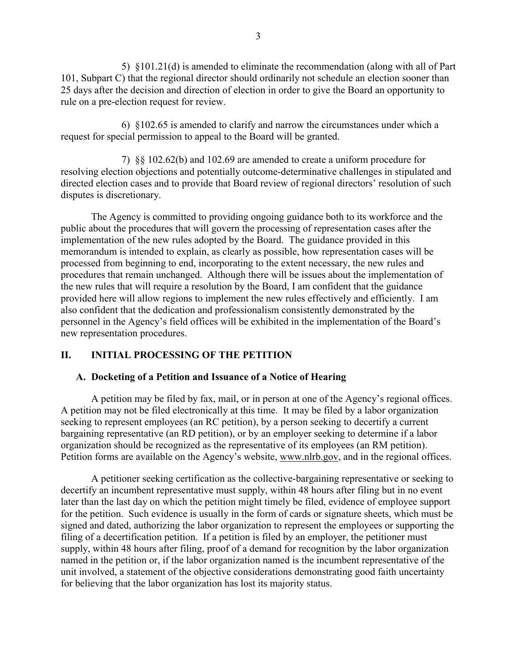5) §101.21(d) is amended to eliminate the recommendation (along with all of Part 101, Subpart C) that the regional director should ordinarily not schedule an election sooner than 25 days after the decision and direction of election in order to give the Board an opportunity to rule on a pre-election request for review.

6) §102.65 is amended to clarify and narrow the circumstances under which a request for special permission to appeal to the Board will be granted.

7) §§ 102.62(b) and 102.69 are amended to create a uniform procedure for resolving election objections and potentially outcome-determinative challenges in stipulated and directed election cases and to provide that Board review of regional directors' resolution of such disputes is discretionary.

The Agency is committed to providing ongoing guidance both to its workforce and the public about the procedures that will govern the processing of representation cases after the implementation of the new rules adopted by the Board. The guidance provided in this memorandum is intended to explain, as clearly as possible, how representation cases will be processed from beginning to end, incorporating to the extent necessary, the new rules and procedures that remain unchanged. Although there will be issues about the implementation of the new rules that will require a resolution by the Board, I am confident that the guidance provided here will allow regions to implement the new rules effectively and efficiently. I am also confident that the dedication and professionalism consistently demonstrated by the personnel in the Agency's field offices will be exhibited in the implementation of the Board's new representation procedures.

# **II. INITIAL PROCESSING OF THE PETITION**

# **A. Docketing of a Petition and Issuance of a Notice of Hearing**

A petition may be filed by fax, mail, or in person at one of the Agency's regional offices. A petition may not be filed electronically at this time. It may be filed by a labor organization seeking to represent employees (an RC petition), by a person seeking to decertify a current bargaining representative (an RD petition), or by an employer seeking to determine if a labor organization should be recognized as the representative of its employees (an RM petition). Petition forms are available on the Agency's website, www.nlrb.gov, and in the regional offices.

A petitioner seeking certification as the collective-bargaining representative or seeking to decertify an incumbent representative must supply, within 48 hours after filing but in no event later than the last day on which the petition might timely be filed, evidence of employee support for the petition. Such evidence is usually in the form of cards or signature sheets, which must be signed and dated, authorizing the labor organization to represent the employees or supporting the filing of a decertification petition. If a petition is filed by an employer, the petitioner must supply, within 48 hours after filing, proof of a demand for recognition by the labor organization named in the petition or, if the labor organization named is the incumbent representative of the unit involved, a statement of the objective considerations demonstrating good faith uncertainty for believing that the labor organization has lost its majority status.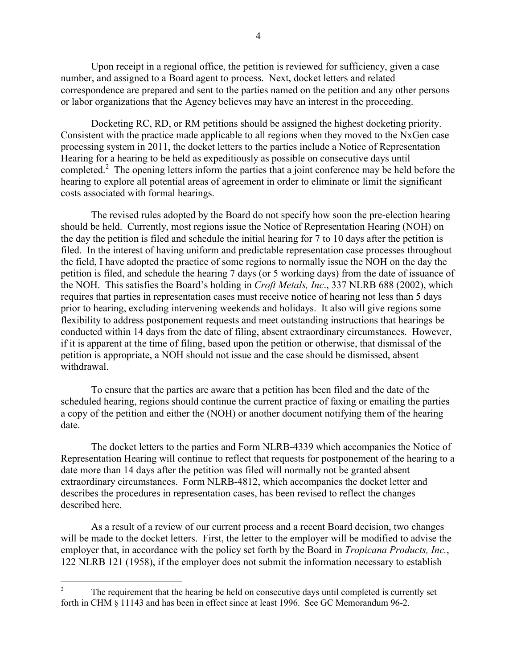Upon receipt in a regional office, the petition is reviewed for sufficiency, given a case number, and assigned to a Board agent to process. Next, docket letters and related correspondence are prepared and sent to the parties named on the petition and any other persons or labor organizations that the Agency believes may have an interest in the proceeding.

Docketing RC, RD, or RM petitions should be assigned the highest docketing priority. Consistent with the practice made applicable to all regions when they moved to the NxGen case processing system in 2011, the docket letters to the parties include a Notice of Representation Hearing for a hearing to be held as expeditiously as possible on consecutive days until completed.<sup>[2](#page-3-0)</sup> The opening letters inform the parties that a joint conference may be held before the hearing to explore all potential areas of agreement in order to eliminate or limit the significant costs associated with formal hearings.

The revised rules adopted by the Board do not specify how soon the pre-election hearing should be held. Currently, most regions issue the Notice of Representation Hearing (NOH) on the day the petition is filed and schedule the initial hearing for 7 to 10 days after the petition is filed. In the interest of having uniform and predictable representation case processes throughout the field, I have adopted the practice of some regions to normally issue the NOH on the day the petition is filed, and schedule the hearing 7 days (or 5 working days) from the date of issuance of the NOH. This satisfies the Board's holding in *Croft Metals, Inc*., 337 NLRB 688 (2002), which requires that parties in representation cases must receive notice of hearing not less than 5 days prior to hearing, excluding intervening weekends and holidays. It also will give regions some flexibility to address postponement requests and meet outstanding instructions that hearings be conducted within 14 days from the date of filing, absent extraordinary circumstances. However, if it is apparent at the time of filing, based upon the petition or otherwise, that dismissal of the petition is appropriate, a NOH should not issue and the case should be dismissed, absent withdrawal.

To ensure that the parties are aware that a petition has been filed and the date of the scheduled hearing, regions should continue the current practice of faxing or emailing the parties a copy of the petition and either the (NOH) or another document notifying them of the hearing date.

The docket letters to the parties and Form NLRB-4339 which accompanies the Notice of Representation Hearing will continue to reflect that requests for postponement of the hearing to a date more than 14 days after the petition was filed will normally not be granted absent extraordinary circumstances. Form NLRB-4812, which accompanies the docket letter and describes the procedures in representation cases, has been revised to reflect the changes described here.

As a result of a review of our current process and a recent Board decision, two changes will be made to the docket letters. First, the letter to the employer will be modified to advise the employer that, in accordance with the policy set forth by the Board in *[Tropicana Products, Inc.](http://mynlrb.nlrb.gov/link/document.aspx/09031d458009a928)*, 122 NLRB 121 (1958), if the employer does not submit the information necessary to establish

 $\overline{a}$ 

<span id="page-3-0"></span><sup>2</sup> The requirement that the hearing be held on consecutive days until completed is currently set forth in CHM § 11143 and has been in effect since at least 1996. See GC Memorandum 96-2.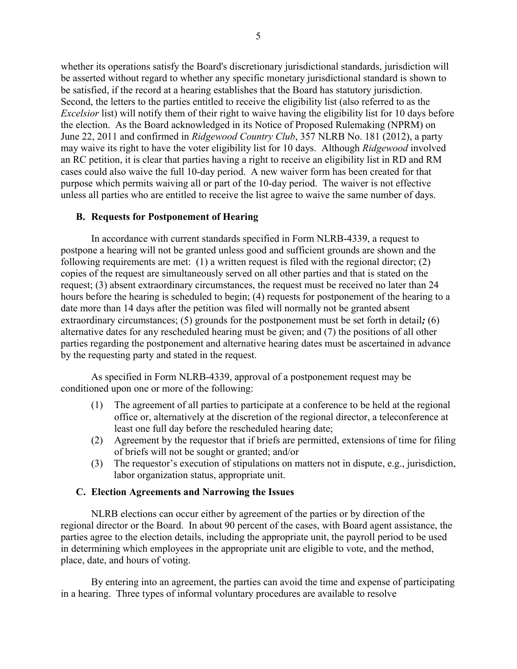whether its operations satisfy the Board's discretionary jurisdictional standards, jurisdiction will be asserted without regard to whether any specific monetary jurisdictional standard is shown to be satisfied, if the record at a hearing establishes that the Board has statutory jurisdiction. Second, the letters to the parties entitled to receive the eligibility list (also referred to as the *Excelsior* list) will notify them of their right to waive having the eligibility list for 10 days before the election. As the Board acknowledged in its Notice of Proposed Rulemaking (NPRM) on June 22, 2011 and confirmed in *[Ridgewood Country Club](http://mynlrb.nlrb.gov/link/document.aspx/09031d458079f1dd)*, 357 NLRB No. 181 (2012), a party may waive its right to have the voter eligibility list for 10 days. Although *Ridgewood* involved an RC petition, it is clear that parties having a right to receive an eligibility list in RD and RM cases could also waive the full 10-day period. A new waiver form has been created for that purpose which permits waiving all or part of the 10-day period. The waiver is not effective unless all parties who are entitled to receive the list agree to waive the same number of days.

#### **B. Requests for Postponement of Hearing**

In accordance with current standards specified in Form NLRB-4339, a request to postpone a hearing will not be granted unless good and sufficient grounds are shown and the following requirements are met: (1) a written request is filed with the regional director; (2) copies of the request are simultaneously served on all other parties and that is stated on the request; (3) absent extraordinary circumstances, the request must be received no later than 24 hours before the hearing is scheduled to begin; (4) requests for postponement of the hearing to a date more than 14 days after the petition was filed will normally not be granted absent extraordinary circumstances; (5) grounds for the postponement must be set forth in detail*;* (6) alternative dates for any rescheduled hearing must be given; and (7) the positions of all other parties regarding the postponement and alternative hearing dates must be ascertained in advance by the requesting party and stated in the request.

As specified in Form NLRB-4339, approval of a postponement request may be conditioned upon one or more of the following:

- (1) The agreement of all parties to participate at a conference to be held at the regional office or, alternatively at the discretion of the regional director, a teleconference at least one full day before the rescheduled hearing date;
- (2) Agreement by the requestor that if briefs are permitted, extensions of time for filing of briefs will not be sought or granted; and/or
- (3) The requestor's execution of stipulations on matters not in dispute, e.g., jurisdiction, labor organization status, appropriate unit.

#### **C. Election Agreements and Narrowing the Issues**

NLRB elections can occur either by agreement of the parties or by direction of the regional director or the Board. In about 90 percent of the cases, with Board agent assistance, the parties agree to the election details, including the appropriate unit, the payroll period to be used in determining which employees in the appropriate unit are eligible to vote, and the method, place, date, and hours of voting.

By entering into an agreement, the parties can avoid the time and expense of participating in a hearing. Three types of informal voluntary procedures are available to resolve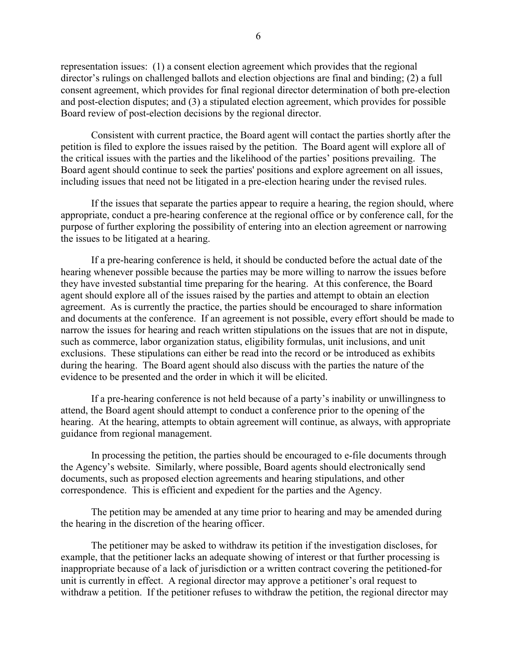representation issues: (1) a consent election agreement which provides that the regional director's rulings on challenged ballots and election objections are final and binding; (2) a full consent agreement, which provides for final regional director determination of both pre-election and post-election disputes; and (3) a stipulated election agreement, which provides for possible Board review of post-election decisions by the regional director.

Consistent with current practice, the Board agent will contact the parties shortly after the petition is filed to explore the issues raised by the petition. The Board agent will explore all of the critical issues with the parties and the likelihood of the parties' positions prevailing. The Board agent should continue to seek the parties' positions and explore agreement on all issues, including issues that need not be litigated in a pre-election hearing under the revised rules.

If the issues that separate the parties appear to require a hearing, the region should, where appropriate, conduct a pre-hearing conference at the regional office or by conference call, for the purpose of further exploring the possibility of entering into an election agreement or narrowing the issues to be litigated at a hearing.

If a pre-hearing conference is held, it should be conducted before the actual date of the hearing whenever possible because the parties may be more willing to narrow the issues before they have invested substantial time preparing for the hearing. At this conference, the Board agent should explore all of the issues raised by the parties and attempt to obtain an election agreement. As is currently the practice, the parties should be encouraged to share information and documents at the conference. If an agreement is not possible, every effort should be made to narrow the issues for hearing and reach written stipulations on the issues that are not in dispute, such as commerce, labor organization status, eligibility formulas, unit inclusions, and unit exclusions. These stipulations can either be read into the record or be introduced as exhibits during the hearing. The Board agent should also discuss with the parties the nature of the evidence to be presented and the order in which it will be elicited.

If a pre-hearing conference is not held because of a party's inability or unwillingness to attend, the Board agent should attempt to conduct a conference prior to the opening of the hearing. At the hearing, attempts to obtain agreement will continue, as always, with appropriate guidance from regional management.

In processing the petition, the parties should be encouraged to e-file documents through the Agency's website. Similarly, where possible, Board agents should electronically send documents, such as proposed election agreements and hearing stipulations, and other correspondence. This is efficient and expedient for the parties and the Agency.

The petition may be amended at any time prior to hearing and may be amended during the hearing in the discretion of the hearing officer.

The petitioner may be asked to withdraw its petition if the investigation discloses, for example, that the petitioner lacks an adequate showing of interest or that further processing is inappropriate because of a lack of jurisdiction or a written contract covering the petitioned-for unit is currently in effect. A regional director may approve a petitioner's oral request to withdraw a petition. If the petitioner refuses to withdraw the petition, the regional director may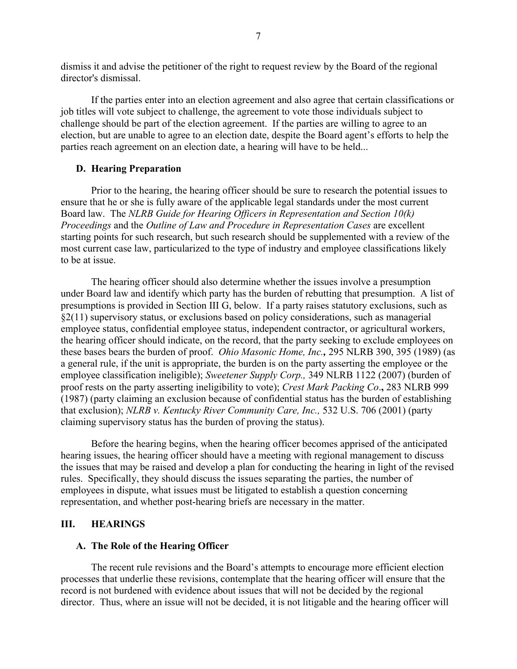dismiss it and advise the petitioner of the right to request review by the Board of the regional director's dismissal.

If the parties enter into an election agreement and also agree that certain classifications or job titles will vote subject to challenge, the agreement to vote those individuals subject to challenge should be part of the election agreement. If the parties are willing to agree to an election, but are unable to agree to an election date, despite the Board agent's efforts to help the parties reach agreement on an election date, a hearing will have to be held...

#### **D. Hearing Preparation**

Prior to the hearing, the hearing officer should be sure to research the potential issues to ensure that he or she is fully aware of the applicable legal standards under the most current Board law. The *[NLRB Guide for Hearing Officers in Representation and Section 10\(k\)](http://www.nlrb.gov/sites/default/files/documents/44/hearing_officer_guide.pdf)  [Proceedings](http://www.nlrb.gov/sites/default/files/documents/44/hearing_officer_guide.pdf)* and the *[Outline of Law and Procedure in Representation Cases](http://www.nlrb.gov/sites/default/files/documents/44/rc_outline_2008_full.pdf)* are excellent starting points for such research, but such research should be supplemented with a review of the most current case law, particularized to the type of industry and employee classifications likely to be at issue.

The hearing officer should also determine whether the issues involve a presumption under Board law and identify which party has the burden of rebutting that presumption. A list of presumptions is provided in [Section III](#page-14-0) G, below. If a party raises statutory exclusions, such as §2(11) supervisory status, or exclusions based on policy considerations, such as managerial employee status, confidential employee status, independent contractor, or agricultural workers, the hearing officer should indicate, on the record, that the party seeking to exclude employees on these bases bears the burden of proof. *[Ohio Masonic Home, Inc.](http://mynlrb.nlrb.gov/link/document.aspx/09031d45801b4206),* 295 NLRB 390, 395 (1989) (as a general rule, if the unit is appropriate, the burden is on the party asserting the employee or the employee classification ineligible); *[Sweetener Supply Corp.,](http://mynlrb.nlrb.gov/link/document.aspx/09031d4580030785)* 349 NLRB 1122 (2007) (burden of proof rests on the party asserting ineligibility to vote); *[Crest Mark Packing Co](http://mynlrb.nlrb.gov/link/document.aspx/09031d45801b328f)*.**,** 283 NLRB 999 (1987) (party claiming an exclusion because of confidential status has the burden of establishing that exclusion); *NLRB v. Kentucky River Community Care, Inc.,* 532 U.S. 706 (2001) (party claiming supervisory status has the burden of proving the status).

Before the hearing begins, when the hearing officer becomes apprised of the anticipated hearing issues, the hearing officer should have a meeting with regional management to discuss the issues that may be raised and develop a plan for conducting the hearing in light of the revised rules. Specifically, they should discuss the issues separating the parties, the number of employees in dispute, what issues must be litigated to establish a question concerning representation, and whether post-hearing briefs are necessary in the matter.

#### **III. HEARINGS**

#### **A. The Role of the Hearing Officer**

The recent rule revisions and the Board's attempts to encourage more efficient election processes that underlie these revisions, contemplate that the hearing officer will ensure that the record is not burdened with evidence about issues that will not be decided by the regional director. Thus, where an issue will not be decided, it is not litigable and the hearing officer will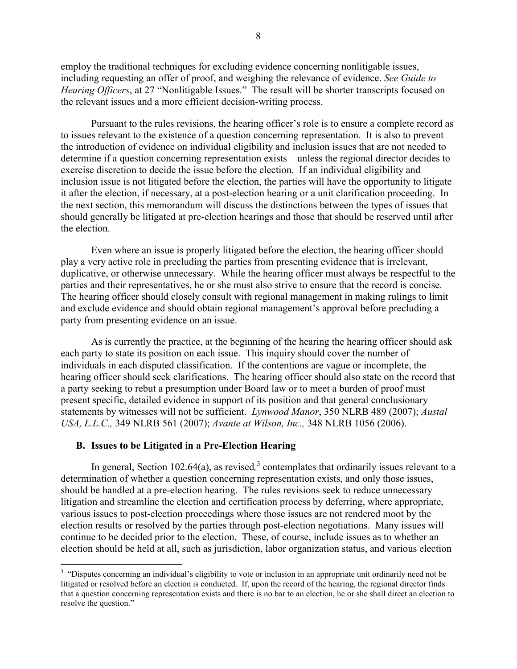employ the traditional techniques for excluding evidence concerning nonlitigable issues, including requesting an offer of proof, and weighing the relevance of evidence. *See [Guide to](http://www.nlrb.gov/sites/default/files/documents/44/hearing_officer_guide.pdf)  [Hearing Officers](http://www.nlrb.gov/sites/default/files/documents/44/hearing_officer_guide.pdf)*, at 27 "Nonlitigable Issues." The result will be shorter transcripts focused on the relevant issues and a more efficient decision-writing process.

Pursuant to the rules revisions, the hearing officer's role is to ensure a complete record as to issues relevant to the existence of a question concerning representation. It is also to prevent the introduction of evidence on individual eligibility and inclusion issues that are not needed to determine if a question concerning representation exists—unless the regional director decides to exercise discretion to decide the issue before the election. If an individual eligibility and inclusion issue is not litigated before the election, the parties will have the opportunity to litigate it after the election, if necessary, at a post-election hearing or a unit clarification proceeding. In the next section, this memorandum will discuss the distinctions between the types of issues that should generally be litigated at pre-election hearings and those that should be reserved until after the election.

Even where an issue is properly litigated before the election, the hearing officer should play a very active role in precluding the parties from presenting evidence that is irrelevant, duplicative, or otherwise unnecessary. While the hearing officer must always be respectful to the parties and their representatives, he or she must also strive to ensure that the record is concise. The hearing officer should closely consult with regional management in making rulings to limit and exclude evidence and should obtain regional management's approval before precluding a party from presenting evidence on an issue.

As is currently the practice, at the beginning of the hearing the hearing officer should ask each party to state its position on each issue. This inquiry should cover the number of individuals in each disputed classification. If the contentions are vague or incomplete, the hearing officer should seek clarifications. The hearing officer should also state on the record that a party seeking to rebut a presumption under Board law or to meet a burden of proof must present specific, detailed evidence in support of its position and that general conclusionary statements by witnesses will not be sufficient. *[Lynwood Manor](http://mynlrb.nlrb.gov/link/document.aspx/09031d45801ab035)*, 350 NLRB 489 (2007); *[Austal](http://mynlrb.nlrb.gov/link/document.aspx/09031d45801b0a8c)  [USA, L.L.C.,](http://mynlrb.nlrb.gov/link/document.aspx/09031d45801b0a8c)* 349 NLRB 561 (2007); *[Avante at Wilson, Inc.,](http://mynlrb.nlrb.gov/link/document.aspx/09031d45801a5a91)* 348 NLRB 1056 (2006).

#### **B. Issues to be Litigated in a Pre-Election Hearing**

 $\overline{a}$ 

In general, Section 102.64(a), as revised,<sup>[3](#page-7-0)</sup> contemplates that ordinarily issues relevant to a determination of whether a question concerning representation exists, and only those issues, should be handled at a pre-election hearing. The rules revisions seek to reduce unnecessary litigation and streamline the election and certification process by deferring, where appropriate, various issues to post-election proceedings where those issues are not rendered moot by the election results or resolved by the parties through post-election negotiations. Many issues will continue to be decided prior to the election. These, of course, include issues as to whether an election should be held at all, such as jurisdiction, labor organization status, and various election

<span id="page-7-0"></span><sup>&</sup>lt;sup>3</sup> "Disputes concerning an individual's eligibility to vote or inclusion in an appropriate unit ordinarily need not be litigated or resolved before an election is conducted. If, upon the record of the hearing, the regional director finds that a question concerning representation exists and there is no bar to an election, he or she shall direct an election to resolve the question."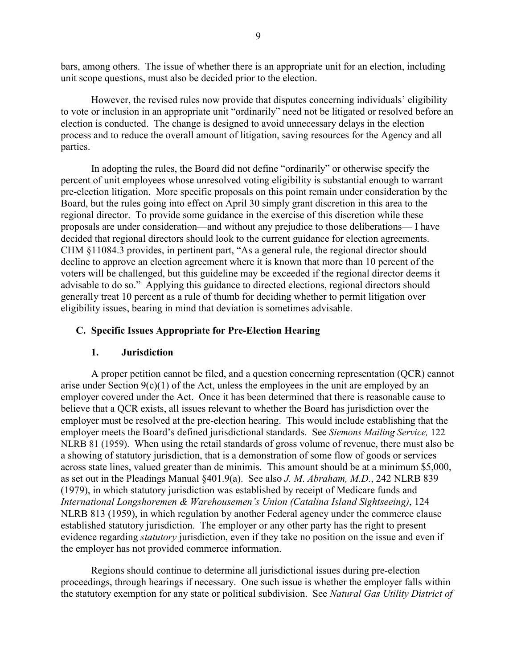bars, among others. The issue of whether there is an appropriate unit for an election, including unit scope questions, must also be decided prior to the election.

However, the revised rules now provide that disputes concerning individuals' eligibility to vote or inclusion in an appropriate unit "ordinarily" need not be litigated or resolved before an election is conducted. The change is designed to avoid unnecessary delays in the election process and to reduce the overall amount of litigation, saving resources for the Agency and all parties.

In adopting the rules, the Board did not define "ordinarily" or otherwise specify the percent of unit employees whose unresolved voting eligibility is substantial enough to warrant pre-election litigation. More specific proposals on this point remain under consideration by the Board, but the rules going into effect on April 30 simply grant discretion in this area to the regional director. To provide some guidance in the exercise of this discretion while these proposals are under consideration—and without any prejudice to those deliberations— I have decided that regional directors should look to the current guidance for election agreements. CHM §11084.3 provides, in pertinent part, "As a general rule, the regional director should decline to approve an election agreement where it is known that more than 10 percent of the voters will be challenged, but this guideline may be exceeded if the regional director deems it advisable to do so." Applying this guidance to directed elections, regional directors should generally treat 10 percent as a rule of thumb for deciding whether to permit litigation over eligibility issues, bearing in mind that deviation is sometimes advisable.

## **C. Specific Issues Appropriate for Pre-Election Hearing**

## **1. Jurisdiction**

A proper petition cannot be filed, and a question concerning representation (QCR) cannot arise under Section  $9(c)(1)$  of the Act, unless the employees in the unit are employed by an employer covered under the Act. Once it has been determined that there is reasonable cause to believe that a QCR exists, all issues relevant to whether the Board has jurisdiction over the employer must be resolved at the pre-election hearing. This would include establishing that the employer meets the Board's defined jurisdictional standards. See *Siemons Mailing Service,* 122 NLRB 81 (1959). When using the retail standards of gross volume of revenue, there must also be a showing of statutory jurisdiction, that is a demonstration of some flow of goods or services across state lines, valued greater than de minimis. This amount should be at a minimum \$5,000, as set out in the Pleadings Manual §401.9(a). See also *J. M*. *[Abraham, M.D.](http://mynlrb.nlrb.gov/link/document.aspx/09031d458003d151)*, 242 NLRB 839 (1979), in which statutory jurisdiction was established by receipt of Medicare funds and *[International Longshoremen & Warehousemen's Union \(Catalina Island Sightseeing\)](http://mynlrb.nlrb.gov/link/document.aspx/09031d45800a1213)*, 124 NLRB 813 (1959), in which regulation by another Federal agency under the commerce clause established statutory jurisdiction. The employer or any other party has the right to present evidence regarding *statutory* jurisdiction, even if they take no position on the issue and even if the employer has not provided commerce information.

Regions should continue to determine all jurisdictional issues during pre-election proceedings, through hearings if necessary. One such issue is whether the employer falls within the statutory exemption for any state or political subdivision. See *[Natural Gas Utility District of](http://mynlrb.nlrb.gov/link/document.aspx/09031d45800a798f)*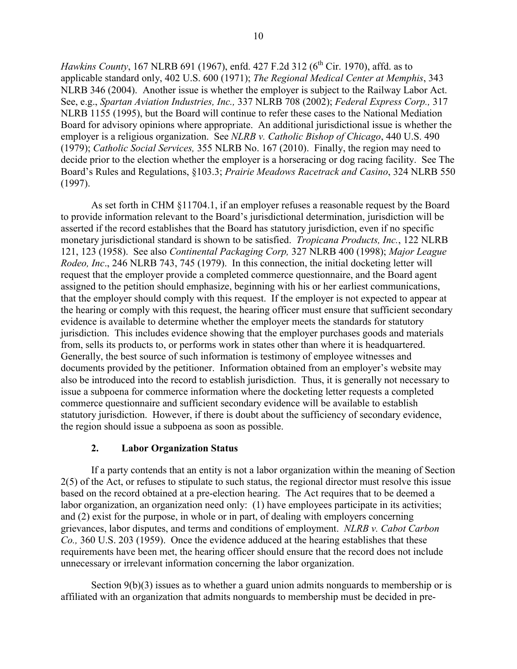*[Hawkins County](http://mynlrb.nlrb.gov/link/document.aspx/09031d45800a798f)*, 167 NLRB 691 (1967), enfd. 427 F.2d 312 (6<sup>th</sup> Cir. 1970), affd. as to applicable standard only, 402 U.S. 600 (1971); *[The Regional Medical Center at Memphis](http://mynlrb.nlrb.gov/link/document.aspx/09031d4580022e9b)*, 343 NLRB 346 (2004). Another issue is whether the employer is subject to the Railway Labor Act. See, e.g., *[Spartan Aviation Industries, Inc.,](http://mynlrb.nlrb.gov/link/document.aspx/09031d45800c0e30)* 337 NLRB 708 (2002); *[Federal Express Corp.,](http://mynlrb.nlrb.gov/link/document.aspx/09031d45800ba0b6)* 317 NLRB 1155 (1995), but the Board will continue to refer these cases to the National Mediation Board for advisory opinions where appropriate. An additional jurisdictional issue is whether the employer is a religious organization. See *NLRB v. Catholic Bishop of Chicago*, 440 U.S. 490 (1979); *[Catholic Social Services,](http://mynlrb.nlrb.gov/link/document.aspx/09031d45803a112a)* 355 NLRB No. 167 (2010). Finally, the region may need to decide prior to the election whether the employer is a horseracing or dog racing facility. See The Board's Rules and Regulations, §103.3; *Prairie Meadows [Racetrack and Casino](http://mynlrb.nlrb.gov/link/document.aspx/09031d45800b7c28)*, 324 NLRB 550 (1997).

As set forth in CHM §11704.1, if an employer refuses a reasonable request by the Board to provide information relevant to the Board's jurisdictional determination, jurisdiction will be asserted if the record establishes that the Board has statutory jurisdiction, even if no specific monetary jurisdictional standard is shown to be satisfied. *[Tropicana Products, Inc.](http://mynlrb.nlrb.gov/link/document.aspx/09031d458009a928)*, 122 NLRB 121, 123 (1958). See also *[Continental Packaging Corp,](http://mynlrb.nlrb.gov/link/document.aspx/09031d45800c0850)* 327 NLRB 400 (1998); *[Major League](http://mynlrb.nlrb.gov/link/document.aspx/09031d458002ded4)  [Rodeo, Inc](http://mynlrb.nlrb.gov/link/document.aspx/09031d458002ded4)*., 246 NLRB 743, 745 (1979). In this connection, the initial docketing letter will request that the employer provide a completed commerce questionnaire, and the Board agent assigned to the petition should emphasize, beginning with his or her earliest communications, that the employer should comply with this request. If the employer is not expected to appear at the hearing or comply with this request, the hearing officer must ensure that sufficient secondary evidence is available to determine whether the employer meets the standards for statutory jurisdiction. This includes evidence showing that the employer purchases goods and materials from, sells its products to, or performs work in states other than where it is headquartered. Generally, the best source of such information is testimony of employee witnesses and documents provided by the petitioner. Information obtained from an employer's website may also be introduced into the record to establish jurisdiction. Thus, it is generally not necessary to issue a subpoena for commerce information where the docketing letter requests a completed commerce questionnaire and sufficient secondary evidence will be available to establish statutory jurisdiction. However, if there is doubt about the sufficiency of secondary evidence, the region should issue a subpoena as soon as possible.

## **2. Labor Organization Status**

If a party contends that an entity is not a labor organization within the meaning of Section 2(5) of the Act, or refuses to stipulate to such status, the regional director must resolve this issue based on the record obtained at a pre-election hearing. The Act requires that to be deemed a labor organization, an organization need only: (1) have employees participate in its activities; and (2) exist for the purpose, in whole or in part, of dealing with employers concerning grievances, labor disputes, and terms and conditions of employment. *NLRB v. Cabot Carbon Co.,* 360 U.S. 203 (1959). Once the evidence adduced at the hearing establishes that these requirements have been met, the hearing officer should ensure that the record does not include unnecessary or irrelevant information concerning the labor organization.

Section 9(b)(3) issues as to whether a guard union admits nonguards to membership or is affiliated with an organization that admits nonguards to membership must be decided in pre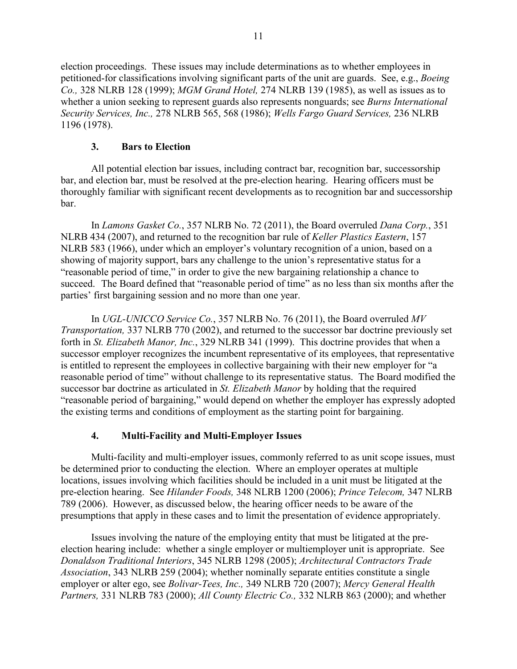election proceedings. These issues may include determinations as to whether employees in petitioned-for classifications involving significant parts of the unit are guards. See, e.g., *[Boeing](http://mynlrb.nlrb.gov/link/document.aspx/09031d45800c08d6)  [Co.,](http://mynlrb.nlrb.gov/link/document.aspx/09031d45800c08d6)* 328 NLRB 128 (1999); *[MGM Grand Hotel,](http://mynlrb.nlrb.gov/link/document.aspx/09031d45801b20dd)* 274 NLRB 139 (1985), as well as issues as to whether a union seeking to represent guards also represents nonguards; see *[Burns International](http://mynlrb.nlrb.gov/link/document.aspx/09031d45801b2929)  [Security Services, Inc.,](http://mynlrb.nlrb.gov/link/document.aspx/09031d45801b2929)* 278 NLRB 565, 568 (1986); *[Wells Fargo Guard Services,](http://mynlrb.nlrb.gov/link/document.aspx/09031d4580034792)* 236 NLRB 1196 (1978).

## **3. Bars to Election**

All potential election bar issues, including contract bar, recognition bar, successorship bar, and election bar, must be resolved at the pre-election hearing. Hearing officers must be thoroughly familiar with significant recent developments as to recognition bar and successorship bar.

In *[Lamons Gasket Co.](http://mynlrb.nlrb.gov/link/document.aspx/09031d458060afd7)*, 357 NLRB No. 72 (2011), the Board overruled *[Dana Corp.](http://mynlrb.nlrb.gov/link/document.aspx/09031d45803939cf)*, 351 NLRB 434 (2007), and returned to the recognition bar rule of *[Keller Plastics Eastern](http://mynlrb.nlrb.gov/link/document.aspx/09031d45800a7251)*, 157 NLRB 583 (1966), under which an employer's voluntary recognition of a union, based on a showing of majority support, bars any challenge to the union's representative status for a "reasonable period of time," in order to give the new bargaining relationship a chance to succeed. The Board defined that "reasonable period of time" as no less than six months after the parties' first bargaining session and no more than one year.

In *[UGL-UNICCO Service Co.](http://mynlrb.nlrb.gov/link/document.aspx/09031d4580611027)*, 357 NLRB No. 76 (2011), the Board overruled *[MV](http://mynlrb.nlrb.gov/link/document.aspx/09031d45800c0e42)  [Transportation,](http://mynlrb.nlrb.gov/link/document.aspx/09031d45800c0e42)* 337 NLRB 770 (2002), and returned to the successor bar doctrine previously set forth in *[St. Elizabeth Manor, Inc.](http://mynlrb.nlrb.gov/link/document.aspx/09031d45800c0946)*, 329 NLRB 341 (1999). This doctrine provides that when a successor employer recognizes the incumbent representative of its employees, that representative is entitled to represent the employees in collective bargaining with their new employer for "a reasonable period of time" without challenge to its representative status. The Board modified the successor bar doctrine as articulated in *St. Elizabeth Manor* by holding that the required "reasonable period of bargaining," would depend on whether the employer has expressly adopted the existing terms and conditions of employment as the starting point for bargaining.

# **4. Multi-Facility and Multi-Employer Issues**

Multi-facility and multi-employer issues, commonly referred to as unit scope issues, must be determined prior to conducting the election. Where an employer operates at multiple locations, issues involving which facilities should be included in a unit must be litigated at the pre-election hearing. See *[Hilander Foods,](http://mynlrb.nlrb.gov/link/document.aspx/09031d45801a5a44)* 348 NLRB 1200 (2006); *[Prince Telecom,](http://mynlrb.nlrb.gov/link/document.aspx/09031d45801a5699)* 347 NLRB 789 (2006). However, as discussed below, the hearing officer needs to be aware of the presumptions that apply in these cases and to limit the presentation of evidence appropriately.

Issues involving the nature of the employing entity that must be litigated at the preelection hearing include: whether a single employer or multiemployer unit is appropriate. See *[Donaldson Traditional Interiors](http://mynlrb.nlrb.gov/link/document.aspx/09031d458007a2a0)*, 345 NLRB 1298 (2005); *[Architectural Contractors Trade](http://mynlrb.nlrb.gov/link/document.aspx/09031d4580022e86)  [Association](http://mynlrb.nlrb.gov/link/document.aspx/09031d4580022e86)*, 343 NLRB 259 (2004); whether nominally separate entities constitute a single employer or alter ego, see *[Bolivar-Tees, Inc.,](http://mynlrb.nlrb.gov/link/document.aspx/09031d45800283c1)* 349 NLRB 720 (2007); *[Mercy General Health](http://mynlrb.nlrb.gov/link/document.aspx/09031d45800c0b1c)  [Partners,](http://mynlrb.nlrb.gov/link/document.aspx/09031d45800c0b1c)* 331 NLRB 783 (2000); *[All County Electric Co.,](http://mynlrb.nlrb.gov/link/document.aspx/09031d45800c0bba)* 332 NLRB 863 (2000); and whether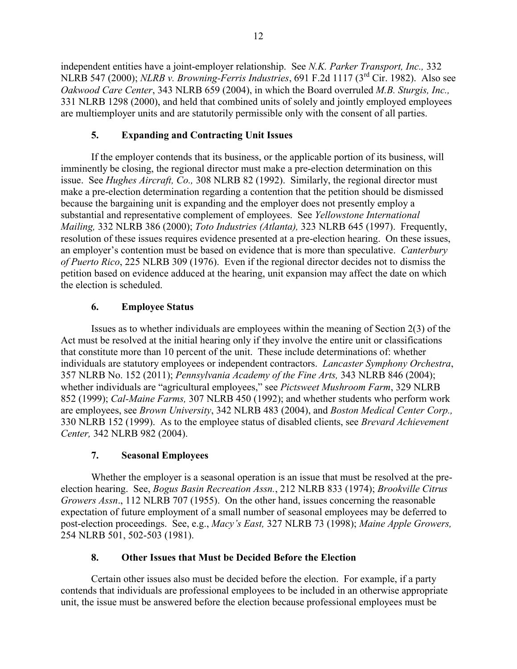independent entities have a joint-employer relationship. See *[N.K. Parker Transport, Inc.,](http://mynlrb.nlrb.gov/link/document.aspx/09031d45800c0ba6)* 332 NLRB 547 (2000); *NLRB v. Browning-Ferris Industries*, 691 F.2d 1117 (3rd Cir. 1982). Also see *[Oakwood Care Center](http://mynlrb.nlrb.gov/link/document.aspx/09031d4580022ea1)*, 343 NLRB 659 (2004), in which the Board overruled *[M.B. Sturgis, Inc.,](http://mynlrb.nlrb.gov/link/document.aspx/09031d45800c0ab3)*  331 NLRB 1298 (2000), and held that combined units of solely and jointly employed employees are multiemployer units and are statutorily permissible only with the consent of all parties.

# **5. Expanding and Contracting Unit Issues**

If the employer contends that its business, or the applicable portion of its business, will imminently be closing, the regional director must make a pre-election determination on this issue. See *[Hughes Aircraft, Co.,](http://mynlrb.nlrb.gov/link/document.aspx/09031d45800bd4d7)* 308 NLRB 82 (1992). Similarly, the regional director must make a pre-election determination regarding a contention that the petition should be dismissed because the bargaining unit is expanding and the employer does not presently employ a substantial and representative complement of employees. See *[Yellowstone International](http://mynlrb.nlrb.gov/link/document.aspx/09031d45800c0b91)  [Mailing,](http://mynlrb.nlrb.gov/link/document.aspx/09031d45800c0b91)* 332 NLRB 386 (2000); *[Toto Industries \(Atlanta\),](http://mynlrb.nlrb.gov/link/document.aspx/09031d45800ba46b)* 323 NLRB 645 (1997). Frequently, resolution of these issues requires evidence presented at a pre-election hearing. On these issues, an employer's contention must be based on evidence that is more than speculative. *[Canterbury](http://mynlrb.nlrb.gov/link/document.aspx/09031d45800ae810)  [of Puerto Rico](http://mynlrb.nlrb.gov/link/document.aspx/09031d45800ae810)*, 225 NLRB 309 (1976). Even if the regional director decides not to dismiss the petition based on evidence adduced at the hearing, unit expansion may affect the date on which the election is scheduled.

# **6. Employee Status**

Issues as to whether individuals are employees within the meaning of Section 2(3) of the Act must be resolved at the initial hearing only if they involve the entire unit or classifications that constitute more than 10 percent of the unit. These include determinations of: whether individuals are statutory employees or independent contractors. *[Lancaster Symphony Orchestra](http://mynlrb.nlrb.gov/link/document.aspx/09031d4580786d42)*, 357 NLRB No. 152 (2011); *[Pennsylvania Academy of the Fine Arts,](http://mynlrb.nlrb.gov/link/document.aspx/09031d4580022ebf)* 343 NLRB 846 (2004); whether individuals are "agricultural employees," see *[Pictsweet Mushroom Farm](http://mynlrb.nlrb.gov/link/document.aspx/09031d45800c096f)*, 329 NLRB 852 (1999); *[Cal-Maine Farms,](http://mynlrb.nlrb.gov/link/document.aspx/09031d45800bd453)* 307 NLRB 450 (1992); and whether students who perform work are employees, see *[Brown University](http://mynlrb.nlrb.gov/link/document.aspx/09031d45800076ac)*, 342 NLRB 483 (2004), and *[Boston Medical Center Corp.,](http://mynlrb.nlrb.gov/link/document.aspx/09031d45800c0a12)* 330 NLRB 152 (1999). As to the employee status of disabled clients, see *[Brevard Achievement](http://mynlrb.nlrb.gov/link/document.aspx/09031d458011d559)  [Center,](http://mynlrb.nlrb.gov/link/document.aspx/09031d458011d559)* 342 NLRB 982 (2004).

# **7. Seasonal Employees**

Whether the employer is a seasonal operation is an issue that must be resolved at the preelection hearing. See, *[Bogus Basin Recreation Assn.](http://mynlrb.nlrb.gov/link/document.aspx/09031d45800a9f91)*, 212 NLRB 833 (1974); *[Brookville Citrus](http://mynlrb.nlrb.gov/link/document.aspx/09031d458008860f)  [Growers Assn](http://mynlrb.nlrb.gov/link/document.aspx/09031d458008860f)*., 112 NLRB 707 (1955). On the other hand, issues concerning the reasonable expectation of future employment of a small number of seasonal employees may be deferred to post-election proceedings. See, e.g., *[Macy's East,](http://mynlrb.nlrb.gov/link/document.aspx/09031d45800c0814)* 327 NLRB 73 (1998); *[Maine Apple Growers,](http://mynlrb.nlrb.gov/link/document.aspx/09031d458002d057)*  254 NLRB 501, 502-503 (1981).

# **8. Other Issues that Must be Decided Before the Election**

Certain other issues also must be decided before the election. For example, if a party contends that individuals are professional employees to be included in an otherwise appropriate unit, the issue must be answered before the election because professional employees must be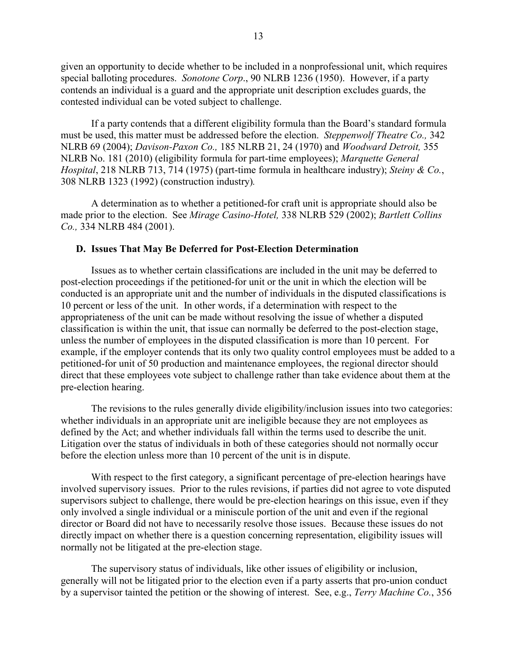given an opportunity to decide whether to be included in a nonprofessional unit, which requires special balloting procedures. *[Sonotone Corp](http://mynlrb.nlrb.gov/link/document.aspx/09031d45800742d1)*., 90 NLRB 1236 (1950). However, if a party contends an individual is a guard and the appropriate unit description excludes guards, the contested individual can be voted subject to challenge.

If a party contends that a different eligibility formula than the Board's standard formula must be used, this matter must be addressed before the election. *[Steppenwolf Theatre Co.](http://mynlrb.nlrb.gov/link/document.aspx/09031d4580007690),* 342 NLRB 69 (2004); *[Davison-Paxon Co.,](http://mynlrb.nlrb.gov/link/document.aspx/09031d45800a814e)* 185 NLRB 21, 24 (1970) and *[Woodward Detroit,](http://mynlrb.nlrb.gov/link/document.aspx/09031d45803ac86d)* 355 NLRB No. 181 (2010) (eligibility formula for part-time employees); *[Marquette General](http://mynlrb.nlrb.gov/link/document.aspx/09031d45800aadb9)  [Hospital](http://mynlrb.nlrb.gov/link/document.aspx/09031d45800aadb9)*, 218 NLRB 713, 714 (1975) (part-time formula in healthcare industry); *[Steiny & Co.](http://mynlrb.nlrb.gov/link/document.aspx/09031d45800bd4e3)*, 308 NLRB 1323 (1992) (construction industry)*.*

A determination as to whether a petitioned-for craft unit is appropriate should also be made prior to the election. See *[Mirage Casino-Hotel,](http://mynlrb.nlrb.gov/link/document.aspx/09031d45800c0f83)* 338 NLRB 529 (2002); *[Bartlett Collins](http://mynlrb.nlrb.gov/link/document.aspx/09031d45800c0d03)  [Co.,](http://mynlrb.nlrb.gov/link/document.aspx/09031d45800c0d03)* 334 NLRB 484 (2001).

#### **D. Issues That May Be Deferred for Post-Election Determination**

Issues as to whether certain classifications are included in the unit may be deferred to post-election proceedings if the petitioned-for unit or the unit in which the election will be conducted is an appropriate unit and the number of individuals in the disputed classifications is 10 percent or less of the unit. In other words, if a determination with respect to the appropriateness of the unit can be made without resolving the issue of whether a disputed classification is within the unit, that issue can normally be deferred to the post-election stage, unless the number of employees in the disputed classification is more than 10 percent. For example, if the employer contends that its only two quality control employees must be added to a petitioned-for unit of 50 production and maintenance employees, the regional director should direct that these employees vote subject to challenge rather than take evidence about them at the pre-election hearing.

The revisions to the rules generally divide eligibility/inclusion issues into two categories: whether individuals in an appropriate unit are ineligible because they are not employees as defined by the Act; and whether individuals fall within the terms used to describe the unit. Litigation over the status of individuals in both of these categories should not normally occur before the election unless more than 10 percent of the unit is in dispute.

With respect to the first category, a significant percentage of pre-election hearings have involved supervisory issues. Prior to the rules revisions, if parties did not agree to vote disputed supervisors subject to challenge, there would be pre-election hearings on this issue, even if they only involved a single individual or a miniscule portion of the unit and even if the regional director or Board did not have to necessarily resolve those issues. Because these issues do not directly impact on whether there is a question concerning representation, eligibility issues will normally not be litigated at the pre-election stage.

The supervisory status of individuals, like other issues of eligibility or inclusion, generally will not be litigated prior to the election even if a party asserts that pro-union conduct by a supervisor tainted the petition or the showing of interest. See, e.g., *[Terry Machine Co.](http://mynlrb.nlrb.gov/link/document.aspx/09031d4580464a11)*, 356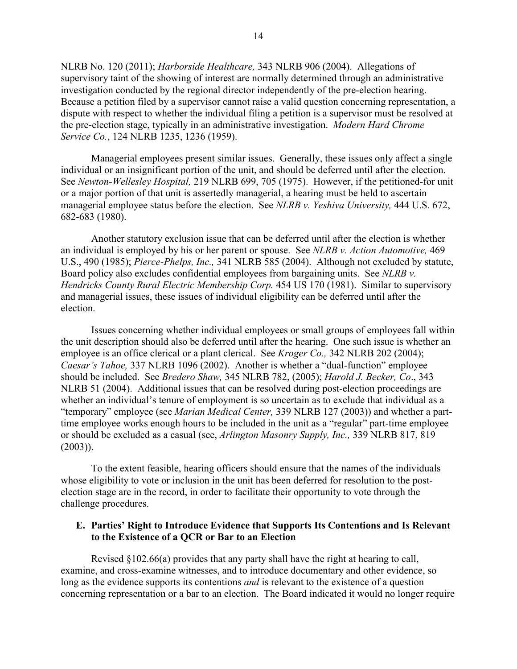NLRB No. 120 (2011); *[Harborside Healthcare,](http://mynlrb.nlrb.gov/link/document.aspx/09031d4580022eb5)* 343 NLRB 906 (2004). Allegations of supervisory taint of the showing of interest are normally determined through an administrative investigation conducted by the regional director independently of the pre-election hearing. Because a petition filed by a supervisor cannot raise a valid question concerning representation, a dispute with respect to whether the individual filing a petition is a supervisor must be resolved at the pre-election stage, typically in an administrative investigation. *Modern Hard Chrome Service Co.*, 124 NLRB 1235, 1236 (1959).

Managerial employees present similar issues. Generally, these issues only affect a single individual or an insignificant portion of the unit, and should be deferred until after the election. See *[Newton-Wellesley Hospital,](http://mynlrb.nlrb.gov/link/document.aspx/09031d45800ae2f6)* 219 NLRB 699, 705 (1975). However, if the petitioned-for unit or a major portion of that unit is assertedly managerial, a hearing must be held to ascertain managerial employee status before the election. See *NLRB v. Yeshiva University,* 444 U.S. 672, 682-683 (1980).

Another statutory exclusion issue that can be deferred until after the election is whether an individual is employed by his or her parent or spouse. See *NLRB v. Action Automotive,* 469 U.S., 490 (1985); *[Pierce-Phelps, Inc.,](http://mynlrb.nlrb.gov/link/document.aspx/09031d45800c118f)* 341 NLRB 585 (2004). Although not excluded by statute, Board policy also excludes confidential employees from bargaining units. See *NLRB v. Hendricks County Rural Electric Membership Corp.* 454 US 170 (1981). Similar to supervisory and managerial issues, these issues of individual eligibility can be deferred until after the election.

Issues concerning whether individual employees or small groups of employees fall within the unit description should also be deferred until after the hearing. One such issue is whether an employee is an office clerical or a plant clerical. See *[Kroger Co.,](http://mynlrb.nlrb.gov/link/document.aspx/09031d458000768b)* 342 NLRB 202 (2004); *[Caesar's Tahoe,](http://mynlrb.nlrb.gov/link/document.aspx/09031d45800c0e70)* 337 NLRB 1096 (2002). Another is whether a "dual-function" employee should be included. See *[Bredero Shaw,](http://mynlrb.nlrb.gov/link/document.aspx/09031d458007a2cf)* 345 NLRB 782, (2005); *[Harold J. Becker, Co](http://mynlrb.nlrb.gov/link/document.aspx/09031d4580022e6f)*., 343 NLRB 51 (2004). Additional issues that can be resolved during post-election proceedings are whether an individual's tenure of employment is so uncertain as to exclude that individual as a "temporary" employee (see *[Marian Medical Center,](http://mynlrb.nlrb.gov/link/document.aspx/09031d45800c0ffe)* 339 NLRB 127 (2003)) and whether a parttime employee works enough hours to be included in the unit as a "regular" part-time employee or should be excluded as a casual (see, *[Arlington Masonry Supply, Inc.,](http://mynlrb.nlrb.gov/link/document.aspx/09031d45800c1051)* 339 NLRB 817, 819  $(2003)$ ).

To the extent feasible, hearing officers should ensure that the names of the individuals whose eligibility to vote or inclusion in the unit has been deferred for resolution to the postelection stage are in the record, in order to facilitate their opportunity to vote through the challenge procedures.

## **E. Parties' Right to Introduce Evidence that Supports Its Contentions and Is Relevant to the Existence of a QCR or Bar to an Election**

Revised §102.66(a) provides that any party shall have the right at hearing to call, examine, and cross-examine witnesses, and to introduce documentary and other evidence, so long as the evidence supports its contentions *and* is relevant to the existence of a question concerning representation or a bar to an election. The Board indicated it would no longer require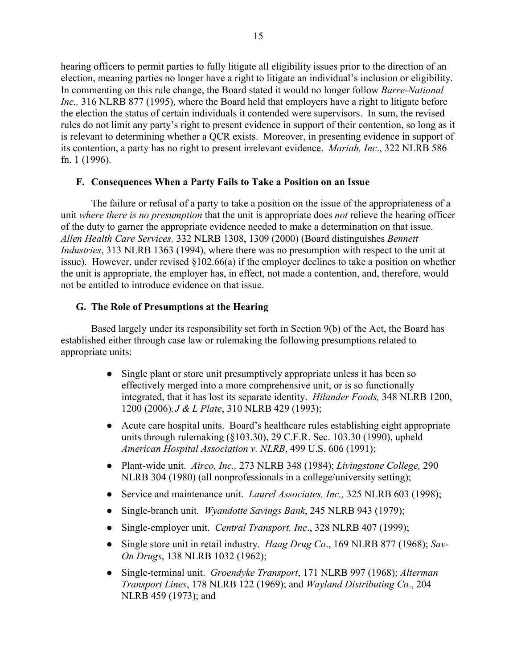hearing officers to permit parties to fully litigate all eligibility issues prior to the direction of an election, meaning parties no longer have a right to litigate an individual's inclusion or eligibility. In commenting on this rule change, the Board stated it would no longer follow *[Barre-National](http://mynlrb.nlrb.gov/link/document.aspx/09031d45800b9fcc)  [Inc.,](http://mynlrb.nlrb.gov/link/document.aspx/09031d45800b9fcc)* 316 NLRB 877 (1995), where the Board held that employers have a right to litigate before the election the status of certain individuals it contended were supervisors. In sum, the revised rules do not limit any party's right to present evidence in support of their contention, so long as it is relevant to determining whether a QCR exists. Moreover, in presenting evidence in support of its contention, a party has no right to present irrelevant evidence. *[Mariah, Inc](http://mynlrb.nlrb.gov/link/document.aspx/09031d45800b7afc)*., 322 NLRB 586 fn. 1 (1996).

## **F. Consequences When a Party Fails to Take a Position on an Issue**

The failure or refusal of a party to take a position on the issue of the appropriateness of a unit *where there is no presumption* that the unit is appropriate does *not* relieve the hearing officer of the duty to garner the appropriate evidence needed to make a determination on that issue. *[Allen Health Care Services,](http://mynlrb.nlrb.gov/link/document.aspx/09031d45800c0b4f)* 332 NLRB 1308, 1309 (2000) (Board distinguishes *[Bennett](http://mynlrb.nlrb.gov/link/document.aspx/09031d45800b9d82)  [Industries](http://mynlrb.nlrb.gov/link/document.aspx/09031d45800b9d82)*, 313 NLRB 1363 (1994), where there was no presumption with respect to the unit at issue). However, under revised §102.66(a) if the employer declines to take a position on whether the unit is appropriate, the employer has, in effect, not made a contention, and, therefore, would not be entitled to introduce evidence on that issue.

## **G. The Role of Presumptions at the Hearing**

<span id="page-14-0"></span>Based largely under its responsibility set forth in Section 9(b) of the Act, the Board has established either through case law or rulemaking the following presumptions related to appropriate units:

- Single plant or store unit presumptively appropriate unless it has been so effectively merged into a more comprehensive unit, or is so functionally integrated, that it has lost its separate identity. *[Hilander Foods,](http://mynlrb.nlrb.gov/link/document.aspx/09031d45801a5a44)* 348 NLRB 1200, 1200 (2006); *[J & L Plate](http://mynlrb.nlrb.gov/link/document.aspx/09031d45800bd6b7)*, 310 NLRB 429 (1993);
- Acute care hospital units. Board's healthcare rules establishing eight appropriate units through rulemaking (§103.30), 29 C.F.R. Sec. 103.30 (1990), upheld *American Hospital Association v. NLRB*, 499 U.S. 606 (1991);
- Plant-wide unit. *[Airco, Inc.,](http://mynlrb.nlrb.gov/link/document.aspx/09031d45801b15b5)* 273 NLRB 348 (1984); *[Livingstone College,](http://mynlrb.nlrb.gov/link/document.aspx/09031d45801b3f51)* 290 NLRB 304 (1980) (all nonprofessionals in a college/university setting);
- Service and maintenance unit. *[Laurel Associates, Inc.,](http://mynlrb.nlrb.gov/link/document.aspx/09031d45800b7c3a)* 325 NLRB 603 (1998);
- Single-branch unit. *[Wyandotte Savings Bank](http://mynlrb.nlrb.gov/link/document.aspx/09031d458002df8d)*, 245 NLRB 943 (1979);
- Single-employer unit. *[Central Transport, Inc](http://mynlrb.nlrb.gov/link/document.aspx/09031d45800c08fd)*., 328 NLRB 407 (1999);
- Single store unit in retail industry. *[Haag Drug Co](http://mynlrb.nlrb.gov/link/document.aspx/09031d45800a7ae4)*., 169 NLRB 877 (1968); *[Sav-](http://mynlrb.nlrb.gov/link/document.aspx/09031d45800a5c0c)[On Drugs](http://mynlrb.nlrb.gov/link/document.aspx/09031d45800a5c0c)*, 138 NLRB 1032 (1962);
- Single-terminal unit. *[Groendyke Transport](http://mynlrb.nlrb.gov/link/document.aspx/09031d45800a831f)*, 171 NLRB 997 (1968); *[Alterman](http://mynlrb.nlrb.gov/link/document.aspx/09031d45800a88ab)  [Transport Lines](http://mynlrb.nlrb.gov/link/document.aspx/09031d45800a88ab)*, 178 NLRB 122 (1969); and *[Wayland Distributing Co](http://mynlrb.nlrb.gov/link/document.aspx/09031d45800a98fd)*., 204 NLRB 459 (1973); and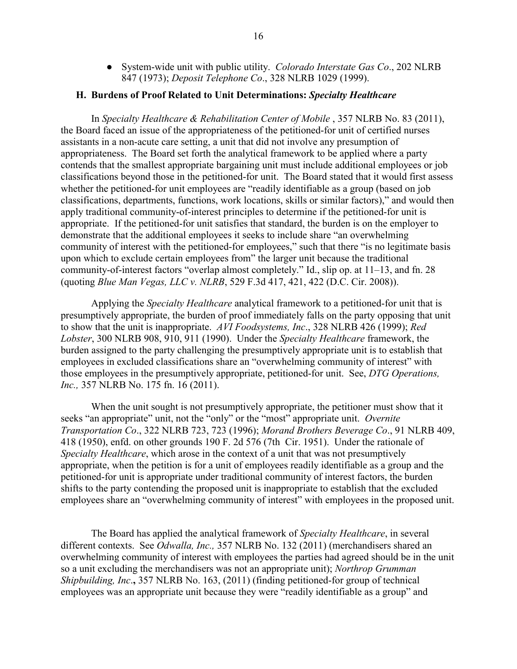● System-wide unit with public utility. *[Colorado Interstate Gas Co](http://mynlrb.nlrb.gov/link/document.aspx/09031d45800a97b5)*., 202 NLRB 847 (1973); *[Deposit Telephone Co](http://mynlrb.nlrb.gov/link/document.aspx/09031d45800c08a8)*., 328 NLRB 1029 (1999).

#### **H. Burdens of Proof Related to Unit Determinations:** *Specialty Healthcare*

In *[Specialty Healthcare & Rehabilitation Center of Mobile](http://mynlrb.nlrb.gov/link/document.aspx/09031d458079c2ad)* , 357 NLRB No. 83 (2011), the Board faced an issue of the appropriateness of the petitioned-for unit of certified nurses assistants in a non-acute care setting, a unit that did not involve any presumption of appropriateness. The Board set forth the analytical framework to be applied where a party contends that the smallest appropriate bargaining unit must include additional employees or job classifications beyond those in the petitioned-for unit. The Board stated that it would first assess whether the petitioned-for unit employees are "readily identifiable as a group (based on job classifications, departments, functions, work locations, skills or similar factors)," and would then apply traditional community-of-interest principles to determine if the petitioned-for unit is appropriate. If the petitioned-for unit satisfies that standard, the burden is on the employer to demonstrate that the additional employees it seeks to include share "an overwhelming community of interest with the petitioned-for employees," such that there "is no legitimate basis upon which to exclude certain employees from" the larger unit because the traditional community-of-interest factors "overlap almost completely." Id., slip op. at 11–13, and fn. 28 (quoting *Blue Man Vegas, LLC v. NLRB*, 529 F.3d 417, 421, 422 (D.C. Cir. 2008)).

Applying the *Specialty Healthcare* analytical framework to a petitioned-for unit that is presumptively appropriate, the burden of proof immediately falls on the party opposing that unit to show that the unit is inappropriate. *[AVI Foodsystems, Inc](http://mynlrb.nlrb.gov/link/document.aspx/09031d45800c08fb)*., 328 NLRB 426 (1999); *[Red](http://mynlrb.nlrb.gov/link/document.aspx/09031d45800bba42)  [Lobster](http://mynlrb.nlrb.gov/link/document.aspx/09031d45800bba42)*, 300 NLRB 908, 910, 911 (1990). Under the *Specialty Healthcare* framework, the burden assigned to the party challenging the presumptively appropriate unit is to establish that employees in excluded classifications share an "overwhelming community of interest" with those employees in the presumptively appropriate, petitioned-for unit. See, *[DTG Operations,](http://mynlrb.nlrb.gov/link/document.aspx/09031d458079c80f)  [Inc.,](http://mynlrb.nlrb.gov/link/document.aspx/09031d458079c80f)* 357 NLRB No. 175 fn. 16 (2011).

When the unit sought is not presumptively appropriate, the petitioner must show that it seeks "an appropriate" unit, not the "only" or the "most" appropriate unit. *Overnite [Transportation Co](http://mynlrb.nlrb.gov/link/document.aspx/09031d45800b7ada)*., 322 NLRB 723, 723 (1996); *[Morand Brothers Beverage Co](http://mynlrb.nlrb.gov/link/document.aspx/09031d4580073510)*., 91 NLRB 409, 418 (1950), enfd. on other grounds 190 F. 2d 576 (7th Cir. 1951). Under the rationale of *Specialty Healthcare*, which arose in the context of a unit that was not presumptively appropriate, when the petition is for a unit of employees readily identifiable as a group and the petitioned-for unit is appropriate under traditional community of interest factors, the burden shifts to the party contending the proposed unit is inappropriate to establish that the excluded employees share an "overwhelming community of interest" with employees in the proposed unit.

The Board has applied the analytical framework of *Specialty Healthcare*, in several different contexts. See *[Odwalla, Inc.,](http://mynlrb.nlrb.gov/link/document.aspx/09031d4580753d76)* 357 NLRB No. 132 (2011) (merchandisers shared an overwhelming community of interest with employees the parties had agreed should be in the unit so a unit excluding the merchandisers was not an appropriate unit); *[Northrop Grumman](http://mynlrb.nlrb.gov/link/document.aspx/09031d4580796d00)  [Shipbuilding, Inc](http://mynlrb.nlrb.gov/link/document.aspx/09031d4580796d00)*.**,** 357 NLRB No. 163, (2011) (finding petitioned-for group of technical employees was an appropriate unit because they were "readily identifiable as a group" and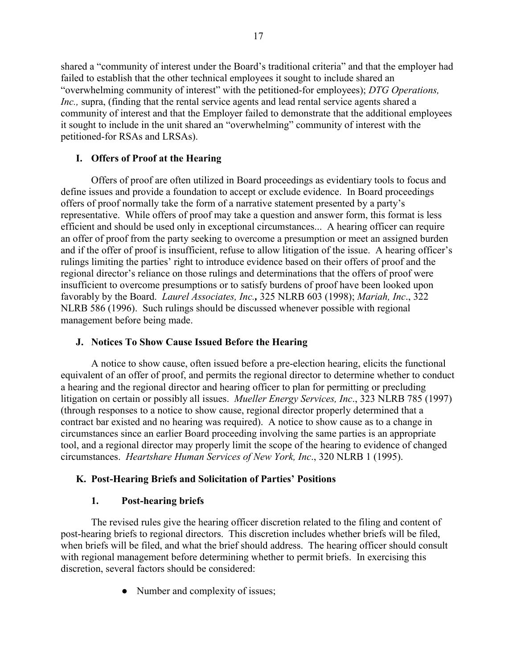shared a "community of interest under the Board's traditional criteria" and that the employer had failed to establish that the other technical employees it sought to include shared an "overwhelming community of interest" with the petitioned-for employees); *[DTG Operations,](http://mynlrb.nlrb.gov/link/document.aspx/09031d458079c80f)  Inc.*, supra, (finding that the rental service agents and lead rental service agents shared a community of interest and that the Employer failed to demonstrate that the additional employees it sought to include in the unit shared an "overwhelming" community of interest with the petitioned-for RSAs and LRSAs).

# **I. Offers of Proof at the Hearing**

Offers of proof are often utilized in Board proceedings as evidentiary tools to focus and define issues and provide a foundation to accept or exclude evidence. In Board proceedings offers of proof normally take the form of a narrative statement presented by a party's representative. While offers of proof may take a question and answer form, this format is less efficient and should be used only in exceptional circumstances... A hearing officer can require an offer of proof from the party seeking to overcome a presumption or meet an assigned burden and if the offer of proof is insufficient, refuse to allow litigation of the issue. A hearing officer's rulings limiting the parties' right to introduce evidence based on their offers of proof and the regional director's reliance on those rulings and determinations that the offers of proof were insufficient to overcome presumptions or to satisfy burdens of proof have been looked upon favorably by the Board. *[Laurel Associates, Inc.](http://mynlrb.nlrb.gov/link/document.aspx/09031d45800b7c3a),* 325 NLRB 603 (1998); *[Mariah, Inc](http://mynlrb.nlrb.gov/link/document.aspx/09031d45800b7afc)*., 322 NLRB 586 (1996). Such rulings should be discussed whenever possible with regional management before being made.

# **J. Notices To Show Cause Issued Before the Hearing**

A notice to show cause, often issued before a pre-election hearing, elicits the functional equivalent of an offer of proof, and permits the regional director to determine whether to conduct a hearing and the regional director and hearing officer to plan for permitting or precluding litigation on certain or possibly all issues. *[Mueller Energy Services, Inc](http://mynlrb.nlrb.gov/link/document.aspx/09031d45800ba488)*., 323 NLRB 785 (1997) (through responses to a notice to show cause, regional director properly determined that a contract bar existed and no hearing was required). A notice to show cause as to a change in circumstances since an earlier Board proceeding involving the same parties is an appropriate tool, and a regional director may properly limit the scope of the hearing to evidence of changed circumstances. *[Heartshare Human Services of New York, Inc](http://mynlrb.nlrb.gov/link/document.aspx/09031d45800ba298)*., 320 NLRB 1 (1995).

# **K. Post-Hearing Briefs and Solicitation of Parties' Positions**

# **1. Post-hearing briefs**

The revised rules give the hearing officer discretion related to the filing and content of post-hearing briefs to regional directors. This discretion includes whether briefs will be filed, when briefs will be filed, and what the brief should address. The hearing officer should consult with regional management before determining whether to permit briefs. In exercising this discretion, several factors should be considered:

• Number and complexity of issues;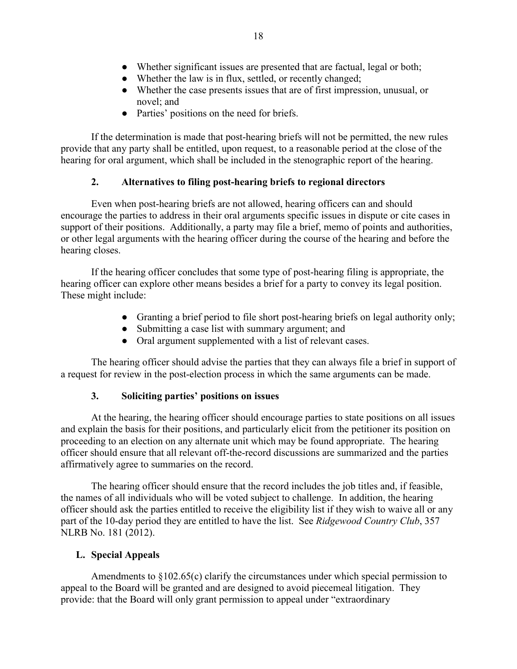- Whether significant issues are presented that are factual, legal or both;
- Whether the law is in flux, settled, or recently changed;
- Whether the case presents issues that are of first impression, unusual, or novel; and
- Parties' positions on the need for briefs.

If the determination is made that post-hearing briefs will not be permitted, the new rules provide that any party shall be entitled, upon request, to a reasonable period at the close of the hearing for oral argument, which shall be included in the stenographic report of the hearing.

# **2. Alternatives to filing post-hearing briefs to regional directors**

Even when post-hearing briefs are not allowed, hearing officers can and should encourage the parties to address in their oral arguments specific issues in dispute or cite cases in support of their positions. Additionally, a party may file a brief, memo of points and authorities, or other legal arguments with the hearing officer during the course of the hearing and before the hearing closes.

If the hearing officer concludes that some type of post-hearing filing is appropriate, the hearing officer can explore other means besides a brief for a party to convey its legal position. These might include:

- Granting a brief period to file short post-hearing briefs on legal authority only;
- Submitting a case list with summary argument; and
- Oral argument supplemented with a list of relevant cases.

The hearing officer should advise the parties that they can always file a brief in support of a request for review in the post-election process in which the same arguments can be made.

# **3. Soliciting parties' positions on issues**

At the hearing, the hearing officer should encourage parties to state positions on all issues and explain the basis for their positions, and particularly elicit from the petitioner its position on proceeding to an election on any alternate unit which may be found appropriate. The hearing officer should ensure that all relevant off-the-record discussions are summarized and the parties affirmatively agree to summaries on the record.

The hearing officer should ensure that the record includes the job titles and, if feasible, the names of all individuals who will be voted subject to challenge. In addition, the hearing officer should ask the parties entitled to receive the eligibility list if they wish to waive all or any part of the 10-day period they are entitled to have the list. See *[Ridgewood Country Club](http://mynlrb.nlrb.gov/link/document.aspx/09031d458079f1dd)*, 357 NLRB No. 181 (2012).

# **L. Special Appeals**

Amendments to §102.65(c) clarify the circumstances under which special permission to appeal to the Board will be granted and are designed to avoid piecemeal litigation. They provide: that the Board will only grant permission to appeal under "extraordinary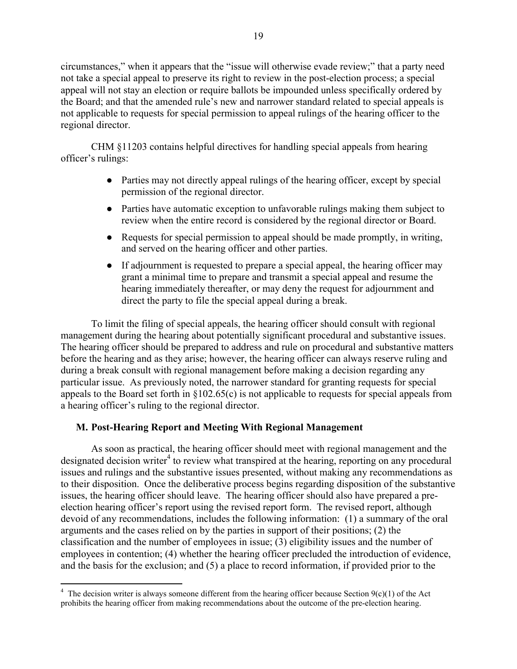circumstances," when it appears that the "issue will otherwise evade review;" that a party need not take a special appeal to preserve its right to review in the post-election process; a special appeal will not stay an election or require ballots be impounded unless specifically ordered by the Board; and that the amended rule's new and narrower standard related to special appeals is not applicable to requests for special permission to appeal rulings of the hearing officer to the regional director.

CHM §11203 contains helpful directives for handling special appeals from hearing officer's rulings:

- Parties may not directly appeal rulings of the hearing officer, except by special permission of the regional director.
- Parties have automatic exception to unfavorable rulings making them subject to review when the entire record is considered by the regional director or Board.
- Requests for special permission to appeal should be made promptly, in writing, and served on the hearing officer and other parties.
- If adjournment is requested to prepare a special appeal, the hearing officer may grant a minimal time to prepare and transmit a special appeal and resume the hearing immediately thereafter, or may deny the request for adjournment and direct the party to file the special appeal during a break.

To limit the filing of special appeals, the hearing officer should consult with regional management during the hearing about potentially significant procedural and substantive issues. The hearing officer should be prepared to address and rule on procedural and substantive matters before the hearing and as they arise; however, the hearing officer can always reserve ruling and during a break consult with regional management before making a decision regarding any particular issue. As previously noted, the narrower standard for granting requests for special appeals to the Board set forth in §102.65(c) is not applicable to requests for special appeals from a hearing officer's ruling to the regional director.

# **M. Post-Hearing Report and Meeting With Regional Management**

As soon as practical, the hearing officer should meet with regional management and the designated decision writer<sup>[4](#page-18-0)</sup> to review what transpired at the hearing, reporting on any procedural issues and rulings and the substantive issues presented, without making any recommendations as to their disposition. Once the deliberative process begins regarding disposition of the substantive issues, the hearing officer should leave. The hearing officer should also have prepared a preelection hearing officer's report using the revised report form. The revised report, although devoid of any recommendations, includes the following information: (1) a summary of the oral arguments and the cases relied on by the parties in support of their positions; (2) the classification and the number of employees in issue; (3) eligibility issues and the number of employees in contention; (4) whether the hearing officer precluded the introduction of evidence, and the basis for the exclusion; and (5) a place to record information, if provided prior to the

<span id="page-18-0"></span><sup>&</sup>lt;sup>4</sup> The decision writer is always someone different from the hearing officer because Section 9(c)(1) of the Act prohibits the hearing officer from making recommendations about the outcome of the pre-election hearing.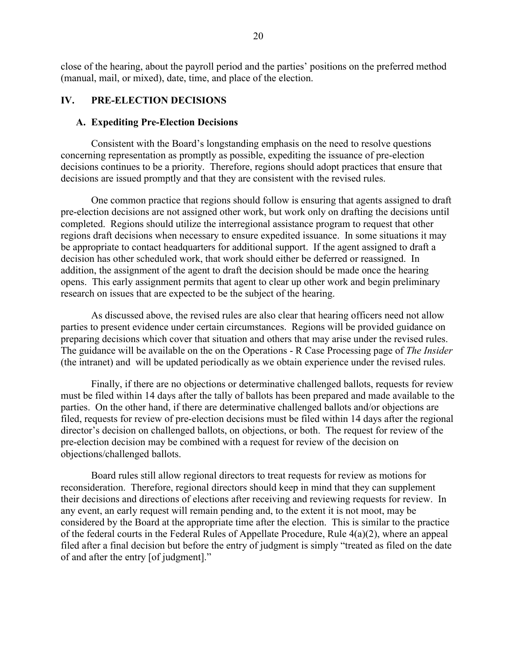close of the hearing, about the payroll period and the parties' positions on the preferred method (manual, mail, or mixed), date, time, and place of the election.

## **IV. PRE-ELECTION DECISIONS**

### **A. Expediting Pre-Election Decisions**

Consistent with the Board's longstanding emphasis on the need to resolve questions concerning representation as promptly as possible, expediting the issuance of pre-election decisions continues to be a priority. Therefore, regions should adopt practices that ensure that decisions are issued promptly and that they are consistent with the revised rules.

One common practice that regions should follow is ensuring that agents assigned to draft pre-election decisions are not assigned other work, but work only on drafting the decisions until completed. Regions should utilize the interregional assistance program to request that other regions draft decisions when necessary to ensure expedited issuance. In some situations it may be appropriate to contact headquarters for additional support. If the agent assigned to draft a decision has other scheduled work, that work should either be deferred or reassigned. In addition, the assignment of the agent to draft the decision should be made once the hearing opens. This early assignment permits that agent to clear up other work and begin preliminary research on issues that are expected to be the subject of the hearing.

As discussed above, the revised rules are also clear that hearing officers need not allow parties to present evidence under certain circumstances. Regions will be provided guidance on preparing decisions which cover that situation and others that may arise under the revised rules. The guidance will be available on the on the Operations - [R Case Processing](http://insider.nlrb.gov/r-case-processing) page of *The Insider*  (the intranet) and will be updated periodically as we obtain experience under the revised rules.

Finally, if there are no objections or determinative challenged ballots, requests for review must be filed within 14 days after the tally of ballots has been prepared and made available to the parties. On the other hand, if there are determinative challenged ballots and/or objections are filed, requests for review of pre-election decisions must be filed within 14 days after the regional director's decision on challenged ballots, on objections, or both. The request for review of the pre-election decision may be combined with a request for review of the decision on objections/challenged ballots.

Board rules still allow regional directors to treat requests for review as motions for reconsideration. Therefore, regional directors should keep in mind that they can supplement their decisions and directions of elections after receiving and reviewing requests for review. In any event, an early request will remain pending and, to the extent it is not moot, may be considered by the Board at the appropriate time after the election. This is similar to the practice of the federal courts in the Federal Rules of Appellate Procedure, Rule 4(a)(2), where an appeal filed after a final decision but before the entry of judgment is simply "treated as filed on the date of and after the entry [of judgment]."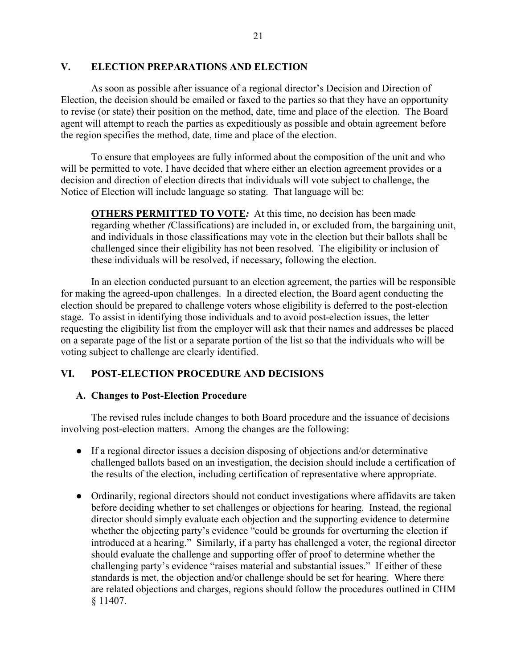## **V. ELECTION PREPARATIONS AND ELECTION**

As soon as possible after issuance of a regional director's Decision and Direction of Election, the decision should be emailed or faxed to the parties so that they have an opportunity to revise (or state) their position on the method, date, time and place of the election. The Board agent will attempt to reach the parties as expeditiously as possible and obtain agreement before the region specifies the method, date, time and place of the election.

To ensure that employees are fully informed about the composition of the unit and who will be permitted to vote, I have decided that where either an election agreement provides or a decision and direction of election directs that individuals will vote subject to challenge, the Notice of Election will include language so stating. That language will be:

**OTHERS PERMITTED TO VOTE***:* At this time, no decision has been made regarding whether *(*Classifications) are included in, or excluded from, the bargaining unit, and individuals in those classifications may vote in the election but their ballots shall be challenged since their eligibility has not been resolved. The eligibility or inclusion of these individuals will be resolved, if necessary, following the election.

In an election conducted pursuant to an election agreement, the parties will be responsible for making the agreed-upon challenges. In a directed election, the Board agent conducting the election should be prepared to challenge voters whose eligibility is deferred to the post-election stage. To assist in identifying those individuals and to avoid post-election issues, the letter requesting the eligibility list from the employer will ask that their names and addresses be placed on a separate page of the list or a separate portion of the list so that the individuals who will be voting subject to challenge are clearly identified.

# **VI. POST-ELECTION PROCEDURE AND DECISIONS**

## **A. Changes to Post-Election Procedure**

The revised rules include changes to both Board procedure and the issuance of decisions involving post-election matters. Among the changes are the following:

- If a regional director issues a decision disposing of objections and/or determinative challenged ballots based on an investigation, the decision should include a certification of the results of the election, including certification of representative where appropriate.
- Ordinarily, regional directors should not conduct investigations where affidavits are taken before deciding whether to set challenges or objections for hearing. Instead, the regional director should simply evaluate each objection and the supporting evidence to determine whether the objecting party's evidence "could be grounds for overturning the election if introduced at a hearing." Similarly, if a party has challenged a voter, the regional director should evaluate the challenge and supporting offer of proof to determine whether the challenging party's evidence "raises material and substantial issues." If either of these standards is met, the objection and/or challenge should be set for hearing. Where there are related objections and charges, regions should follow the procedures outlined in CHM § 11407.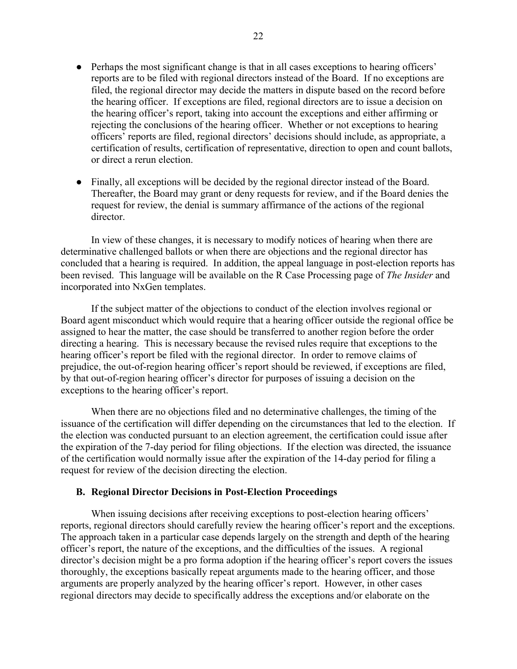- Perhaps the most significant change is that in all cases exceptions to hearing officers' reports are to be filed with regional directors instead of the Board. If no exceptions are filed, the regional director may decide the matters in dispute based on the record before the hearing officer. If exceptions are filed, regional directors are to issue a decision on the hearing officer's report, taking into account the exceptions and either affirming or rejecting the conclusions of the hearing officer. Whether or not exceptions to hearing officers' reports are filed, regional directors' decisions should include, as appropriate, a certification of results, certification of representative, direction to open and count ballots, or direct a rerun election.
- Finally, all exceptions will be decided by the regional director instead of the Board. Thereafter, the Board may grant or deny requests for review, and if the Board denies the request for review, the denial is summary affirmance of the actions of the regional director.

In view of these changes, it is necessary to modify notices of hearing when there are determinative challenged ballots or when there are objections and the regional director has concluded that a hearing is required. In addition, the appeal language in post-election reports has been revised. This language will be available on the [R Case Processing](http://insider.nlrb.gov/r-case-processing) page of *The Insider* and incorporated into NxGen templates.

If the subject matter of the objections to conduct of the election involves regional or Board agent misconduct which would require that a hearing officer outside the regional office be assigned to hear the matter, the case should be transferred to another region before the order directing a hearing. This is necessary because the revised rules require that exceptions to the hearing officer's report be filed with the regional director. In order to remove claims of prejudice, the out-of-region hearing officer's report should be reviewed, if exceptions are filed, by that out-of-region hearing officer's director for purposes of issuing a decision on the exceptions to the hearing officer's report.

When there are no objections filed and no determinative challenges, the timing of the issuance of the certification will differ depending on the circumstances that led to the election. If the election was conducted pursuant to an election agreement, the certification could issue after the expiration of the 7-day period for filing objections. If the election was directed, the issuance of the certification would normally issue after the expiration of the 14-day period for filing a request for review of the decision directing the election.

## **B. Regional Director Decisions in Post-Election Proceedings**

When issuing decisions after receiving exceptions to post-election hearing officers' reports, regional directors should carefully review the hearing officer's report and the exceptions. The approach taken in a particular case depends largely on the strength and depth of the hearing officer's report, the nature of the exceptions, and the difficulties of the issues. A regional director's decision might be a pro forma adoption if the hearing officer's report covers the issues thoroughly, the exceptions basically repeat arguments made to the hearing officer, and those arguments are properly analyzed by the hearing officer's report. However, in other cases regional directors may decide to specifically address the exceptions and/or elaborate on the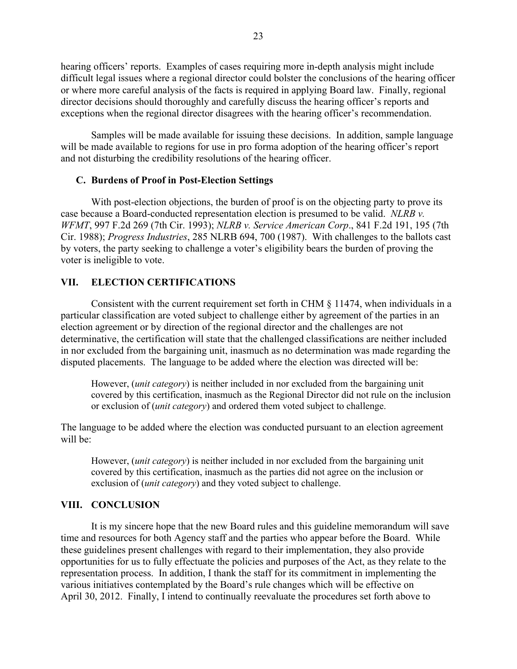hearing officers' reports. Examples of cases requiring more in-depth analysis might include difficult legal issues where a regional director could bolster the conclusions of the hearing officer or where more careful analysis of the facts is required in applying Board law. Finally, regional director decisions should thoroughly and carefully discuss the hearing officer's reports and exceptions when the regional director disagrees with the hearing officer's recommendation.

Samples will be made available for issuing these decisions. In addition, sample language will be made available to regions for use in pro forma adoption of the hearing officer's report and not disturbing the credibility resolutions of the hearing officer.

## **C. Burdens of Proof in Post-Election Settings**

With post-election objections, the burden of proof is on the objecting party to prove its case because a Board-conducted representation election is presumed to be valid. *NLRB v. WFMT*, 997 F.2d 269 (7th Cir. 1993); *NLRB v. Service American Corp*., 841 F.2d 191, 195 (7th Cir. 1988); *[Progress Industries](http://mynlrb.nlrb.gov/link/document.aspx/09031d45801b346a)*, 285 NLRB 694, 700 (1987). With challenges to the ballots cast by voters, the party seeking to challenge a voter's eligibility bears the burden of proving the voter is ineligible to vote.

## **VII. ELECTION CERTIFICATIONS**

Consistent with the current requirement set forth in CHM § 11474, when individuals in a particular classification are voted subject to challenge either by agreement of the parties in an election agreement or by direction of the regional director and the challenges are not determinative, the certification will state that the challenged classifications are neither included in nor excluded from the bargaining unit, inasmuch as no determination was made regarding the disputed placements. The language to be added where the election was directed will be:

However, (*unit category*) is neither included in nor excluded from the bargaining unit covered by this certification, inasmuch as the Regional Director did not rule on the inclusion or exclusion of (*unit category*) and ordered them voted subject to challenge.

The language to be added where the election was conducted pursuant to an election agreement will be:

However, (*unit category*) is neither included in nor excluded from the bargaining unit covered by this certification, inasmuch as the parties did not agree on the inclusion or exclusion of (*unit category*) and they voted subject to challenge.

## **VIII. CONCLUSION**

It is my sincere hope that the new Board rules and this guideline memorandum will save time and resources for both Agency staff and the parties who appear before the Board. While these guidelines present challenges with regard to their implementation, they also provide opportunities for us to fully effectuate the policies and purposes of the Act, as they relate to the representation process. In addition, I thank the staff for its commitment in implementing the various initiatives contemplated by the Board's rule changes which will be effective on April 30, 2012. Finally, I intend to continually reevaluate the procedures set forth above to